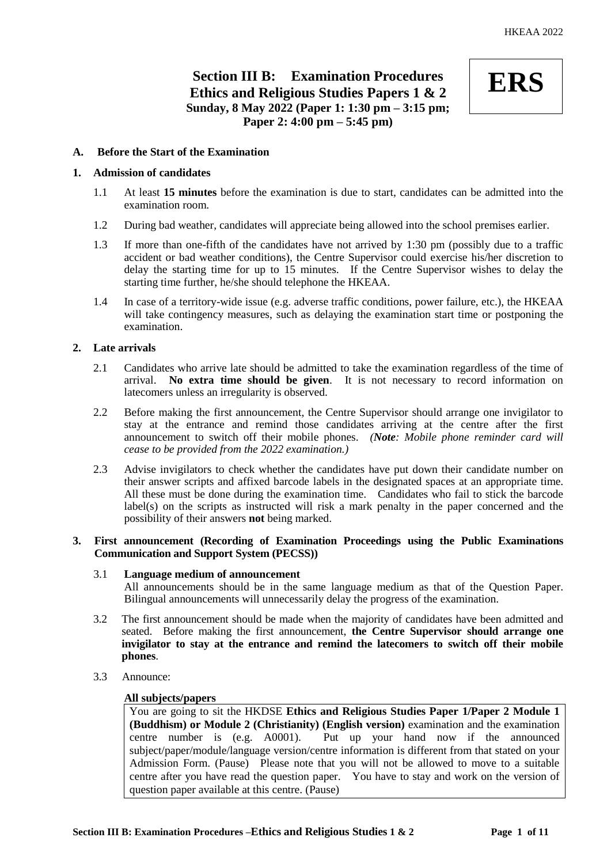# **Section III B: Examination Procedures Ethics and Religious Studies Papers 1 & 2 Sunday, 8 May 2022 (Paper 1: 1:30 pm – 3:15 pm; Paper 2: 4:00 pm – 5:45 pm)**



# **A. Before the Start of the Examination**

# **1. Admission of candidates**

- 1.1 At least **15 minutes** before the examination is due to start, candidates can be admitted into the examination room.
- 1.2 During bad weather, candidates will appreciate being allowed into the school premises earlier.
- 1.3 If more than one-fifth of the candidates have not arrived by 1:30 pm (possibly due to a traffic accident or bad weather conditions), the Centre Supervisor could exercise his/her discretion to delay the starting time for up to 15 minutes. If the Centre Supervisor wishes to delay the starting time further, he/she should telephone the HKEAA.
- 1.4 In case of a territory-wide issue (e.g. adverse traffic conditions, power failure, etc.), the HKEAA will take contingency measures, such as delaying the examination start time or postponing the examination.

# **2. Late arrivals**

- 2.1 Candidates who arrive late should be admitted to take the examination regardless of the time of arrival. **No extra time should be given**. It is not necessary to record information on latecomers unless an irregularity is observed.
- 2.2 Before making the first announcement, the Centre Supervisor should arrange one invigilator to stay at the entrance and remind those candidates arriving at the centre after the first announcement to switch off their mobile phones. *(Note: Mobile phone reminder card will cease to be provided from the 2022 examination.)*
- 2.3 Advise invigilators to check whether the candidates have put down their candidate number on their answer scripts and affixed barcode labels in the designated spaces at an appropriate time. All these must be done during the examination time. Candidates who fail to stick the barcode label(s) on the scripts as instructed will risk a mark penalty in the paper concerned and the possibility of their answers **not** being marked.

# **3. First announcement (Recording of Examination Proceedings using the Public Examinations Communication and Support System (PECSS))**

# 3.1 **Language medium of announcement**

All announcements should be in the same language medium as that of the Question Paper. Bilingual announcements will unnecessarily delay the progress of the examination.

- 3.2 The first announcement should be made when the majority of candidates have been admitted and seated. Before making the first announcement, **the Centre Supervisor should arrange one invigilator to stay at the entrance and remind the latecomers to switch off their mobile phones**.
- 3.3 Announce:

#### **All subjects/papers**

You are going to sit the HKDSE **Ethics and Religious Studies Paper 1/Paper 2 Module 1 (Buddhism) or Module 2 (Christianity) (English version)** examination and the examination centre number is (e.g. A0001). Put up your hand now if the announced subject/paper/module/language version/centre information is different from that stated on your Admission Form. (Pause) Please note that you will not be allowed to move to a suitable centre after you have read the question paper. You have to stay and work on the version of question paper available at this centre. (Pause)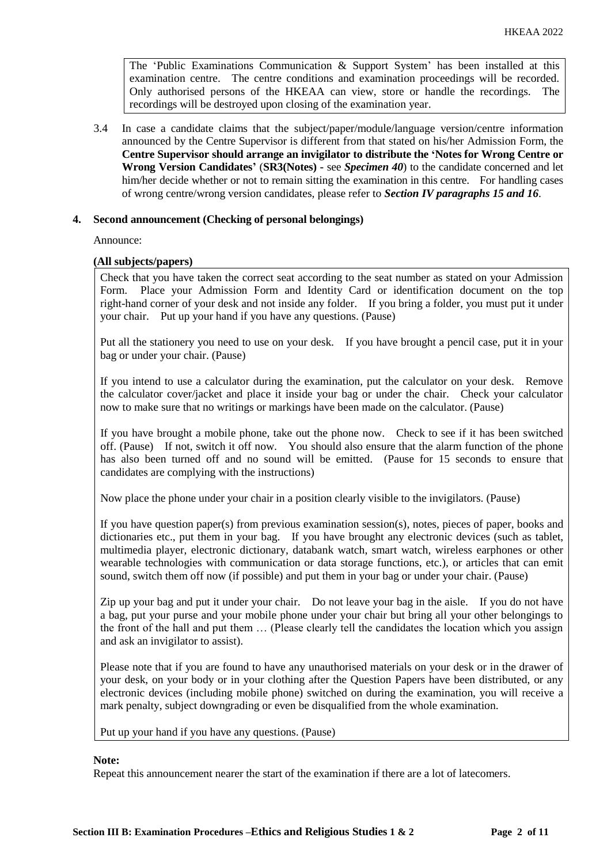The 'Public Examinations Communication  $\&$  Support System' has been installed at this examination centre. The centre conditions and examination proceedings will be recorded. Only authorised persons of the HKEAA can view, store or handle the recordings. The recordings will be destroyed upon closing of the examination year.

3.4 In case a candidate claims that the subject/paper/module/language version/centre information announced by the Centre Supervisor is different from that stated on his/her Admission Form, the **Centre Supervisor should arrange an invigilator to distribute the 'Notes for Wrong Centre or Wrong Version Candidates'** (**SR3(Notes) -** see *Specimen 40*) to the candidate concerned and let him/her decide whether or not to remain sitting the examination in this centre. For handling cases of wrong centre/wrong version candidates, please refer to *Section IV paragraphs 15 and 16*.

# **4. Second announcement (Checking of personal belongings)**

Announce:

# **(All subjects/papers)**

Check that you have taken the correct seat according to the seat number as stated on your Admission Form. Place your Admission Form and Identity Card or identification document on the top right-hand corner of your desk and not inside any folder. If you bring a folder, you must put it under your chair. Put up your hand if you have any questions. (Pause)

Put all the stationery you need to use on your desk. If you have brought a pencil case, put it in your bag or under your chair. (Pause)

If you intend to use a calculator during the examination, put the calculator on your desk. Remove the calculator cover/jacket and place it inside your bag or under the chair. Check your calculator now to make sure that no writings or markings have been made on the calculator. (Pause)

If you have brought a mobile phone, take out the phone now. Check to see if it has been switched off. (Pause) If not, switch it off now. You should also ensure that the alarm function of the phone has also been turned off and no sound will be emitted. (Pause for 15 seconds to ensure that candidates are complying with the instructions)

Now place the phone under your chair in a position clearly visible to the invigilators. (Pause)

If you have question paper(s) from previous examination session(s), notes, pieces of paper, books and dictionaries etc., put them in your bag. If you have brought any electronic devices (such as tablet, multimedia player, electronic dictionary, databank watch, smart watch, wireless earphones or other wearable technologies with communication or data storage functions, etc.), or articles that can emit sound, switch them off now (if possible) and put them in your bag or under your chair. (Pause)

Zip up your bag and put it under your chair. Do not leave your bag in the aisle. If you do not have a bag, put your purse and your mobile phone under your chair but bring all your other belongings to the front of the hall and put them … (Please clearly tell the candidates the location which you assign and ask an invigilator to assist).

Please note that if you are found to have any unauthorised materials on your desk or in the drawer of your desk, on your body or in your clothing after the Question Papers have been distributed, or any electronic devices (including mobile phone) switched on during the examination, you will receive a mark penalty, subject downgrading or even be disqualified from the whole examination.

Put up your hand if you have any questions. (Pause)

# **Note:**

Repeat this announcement nearer the start of the examination if there are a lot of latecomers.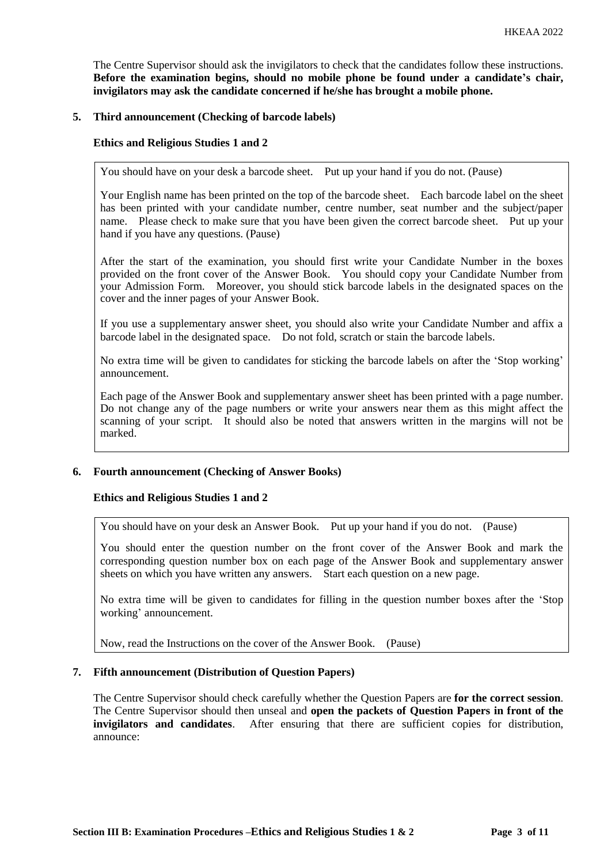The Centre Supervisor should ask the invigilators to check that the candidates follow these instructions. **Before the examination begins, should no mobile phone be found under a candidate's chair, invigilators may ask the candidate concerned if he/she has brought a mobile phone.**

# **5. Third announcement (Checking of barcode labels)**

# **Ethics and Religious Studies 1 and 2**

You should have on your desk a barcode sheet. Put up your hand if you do not. (Pause)

Your English name has been printed on the top of the barcode sheet. Each barcode label on the sheet has been printed with your candidate number, centre number, seat number and the subject/paper name. Please check to make sure that you have been given the correct barcode sheet. Put up your hand if you have any questions. (Pause)

After the start of the examination, you should first write your Candidate Number in the boxes provided on the front cover of the Answer Book. You should copy your Candidate Number from your Admission Form. Moreover, you should stick barcode labels in the designated spaces on the cover and the inner pages of your Answer Book.

If you use a supplementary answer sheet, you should also write your Candidate Number and affix a barcode label in the designated space. Do not fold, scratch or stain the barcode labels.

No extra time will be given to candidates for sticking the barcode labels on after the 'Stop working' announcement.

Each page of the Answer Book and supplementary answer sheet has been printed with a page number. Do not change any of the page numbers or write your answers near them as this might affect the scanning of your script. It should also be noted that answers written in the margins will not be marked.

#### **6. Fourth announcement (Checking of Answer Books)**

#### **Ethics and Religious Studies 1 and 2**

You should have on your desk an Answer Book. Put up your hand if you do not. (Pause)

You should enter the question number on the front cover of the Answer Book and mark the corresponding question number box on each page of the Answer Book and supplementary answer sheets on which you have written any answers. Start each question on a new page.

No extra time will be given to candidates for filling in the question number boxes after the 'Stop working' announcement.

Now, read the Instructions on the cover of the Answer Book. (Pause)

# **7. Fifth announcement (Distribution of Question Papers)**

The Centre Supervisor should check carefully whether the Question Papers are **for the correct session**. The Centre Supervisor should then unseal and **open the packets of Question Papers in front of the invigilators and candidates**. After ensuring that there are sufficient copies for distribution, announce: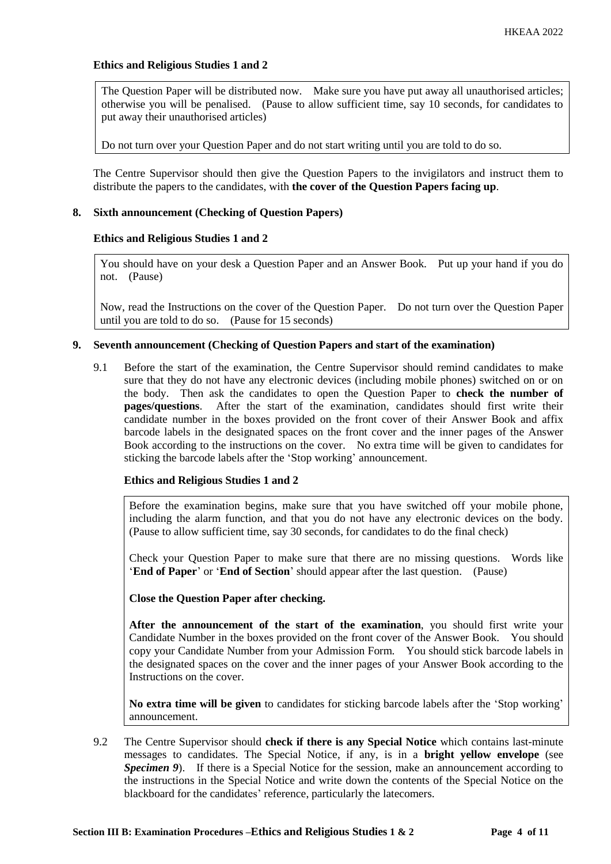# **Ethics and Religious Studies 1 and 2**

The Question Paper will be distributed now. Make sure you have put away all unauthorised articles; otherwise you will be penalised. (Pause to allow sufficient time, say 10 seconds, for candidates to put away their unauthorised articles)

Do not turn over your Question Paper and do not start writing until you are told to do so.

The Centre Supervisor should then give the Question Papers to the invigilators and instruct them to distribute the papers to the candidates, with **the cover of the Question Papers facing up**.

### **8. Sixth announcement (Checking of Question Papers)**

# **Ethics and Religious Studies 1 and 2**

You should have on your desk a Question Paper and an Answer Book. Put up your hand if you do not. (Pause)

Now, read the Instructions on the cover of the Question Paper. Do not turn over the Question Paper until you are told to do so. (Pause for 15 seconds)

# **9. Seventh announcement (Checking of Question Papers and start of the examination)**

9.1 Before the start of the examination, the Centre Supervisor should remind candidates to make sure that they do not have any electronic devices (including mobile phones) switched on or on the body. Then ask the candidates to open the Question Paper to **check the number of pages/questions**. After the start of the examination, candidates should first write their candidate number in the boxes provided on the front cover of their Answer Book and affix barcode labels in the designated spaces on the front cover and the inner pages of the Answer Book according to the instructions on the cover. No extra time will be given to candidates for sticking the barcode labels after the 'Stop working' announcement.

#### **Ethics and Religious Studies 1 and 2**

Before the examination begins, make sure that you have switched off your mobile phone, including the alarm function, and that you do not have any electronic devices on the body. (Pause to allow sufficient time, say 30 seconds, for candidates to do the final check)

Check your Question Paper to make sure that there are no missing questions. Words like '**End of Paper**' or '**End of Section**' should appear after the last question. (Pause)

**Close the Question Paper after checking.**

**After the announcement of the start of the examination**, you should first write your Candidate Number in the boxes provided on the front cover of the Answer Book. You should copy your Candidate Number from your Admission Form. You should stick barcode labels in the designated spaces on the cover and the inner pages of your Answer Book according to the Instructions on the cover.

**No extra time will be given** to candidates for sticking barcode labels after the 'Stop working' announcement.

9.2 The Centre Supervisor should **check if there is any Special Notice** which contains last-minute messages to candidates. The Special Notice, if any, is in a **bright yellow envelope** (see *Specimen 9*). If there is a Special Notice for the session, make an announcement according to the instructions in the Special Notice and write down the contents of the Special Notice on the blackboard for the candidates' reference, particularly the latecomers.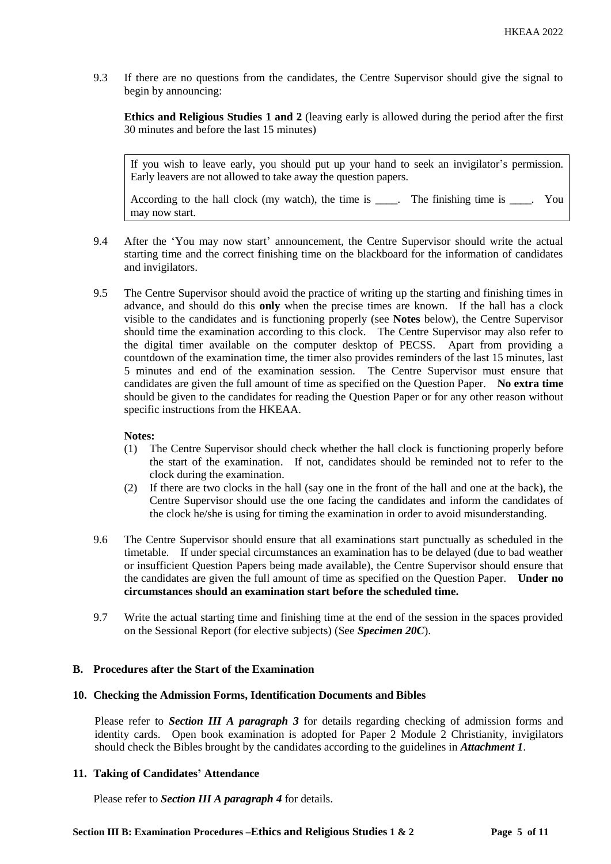9.3 If there are no questions from the candidates, the Centre Supervisor should give the signal to begin by announcing:

**Ethics and Religious Studies 1 and 2** (leaving early is allowed during the period after the first 30 minutes and before the last 15 minutes)

If you wish to leave early, you should put up your hand to seek an invigilator's permission. Early leavers are not allowed to take away the question papers.

According to the hall clock (my watch), the time is \_\_\_\_. The finishing time is \_\_\_\_. You may now start.

- 9.4 After the 'You may now start' announcement, the Centre Supervisor should write the actual starting time and the correct finishing time on the blackboard for the information of candidates and invigilators.
- 9.5 The Centre Supervisor should avoid the practice of writing up the starting and finishing times in advance, and should do this **only** when the precise times are known. If the hall has a clock visible to the candidates and is functioning properly (see **Notes** below), the Centre Supervisor should time the examination according to this clock. The Centre Supervisor may also refer to the digital timer available on the computer desktop of PECSS. Apart from providing a countdown of the examination time, the timer also provides reminders of the last 15 minutes, last 5 minutes and end of the examination session. The Centre Supervisor must ensure that candidates are given the full amount of time as specified on the Question Paper. **No extra time** should be given to the candidates for reading the Question Paper or for any other reason without specific instructions from the HKEAA.

# **Notes:**

- (1) The Centre Supervisor should check whether the hall clock is functioning properly before the start of the examination. If not, candidates should be reminded not to refer to the clock during the examination.
- (2) If there are two clocks in the hall (say one in the front of the hall and one at the back), the Centre Supervisor should use the one facing the candidates and inform the candidates of the clock he/she is using for timing the examination in order to avoid misunderstanding.
- 9.6 The Centre Supervisor should ensure that all examinations start punctually as scheduled in the timetable. If under special circumstances an examination has to be delayed (due to bad weather or insufficient Question Papers being made available), the Centre Supervisor should ensure that the candidates are given the full amount of time as specified on the Question Paper. **Under no circumstances should an examination start before the scheduled time.**
- 9.7 Write the actual starting time and finishing time at the end of the session in the spaces provided on the Sessional Report (for elective subjects) (See *Specimen 20C*).

# **B. Procedures after the Start of the Examination**

#### **10. Checking the Admission Forms, Identification Documents and Bibles**

Please refer to *Section III A paragraph 3* for details regarding checking of admission forms and identity cards. Open book examination is adopted for Paper 2 Module 2 Christianity, invigilators should check the Bibles brought by the candidates according to the guidelines in *Attachment 1*.

#### **11. Taking of Candidates' Attendance**

Please refer to *Section III A paragraph 4* for details.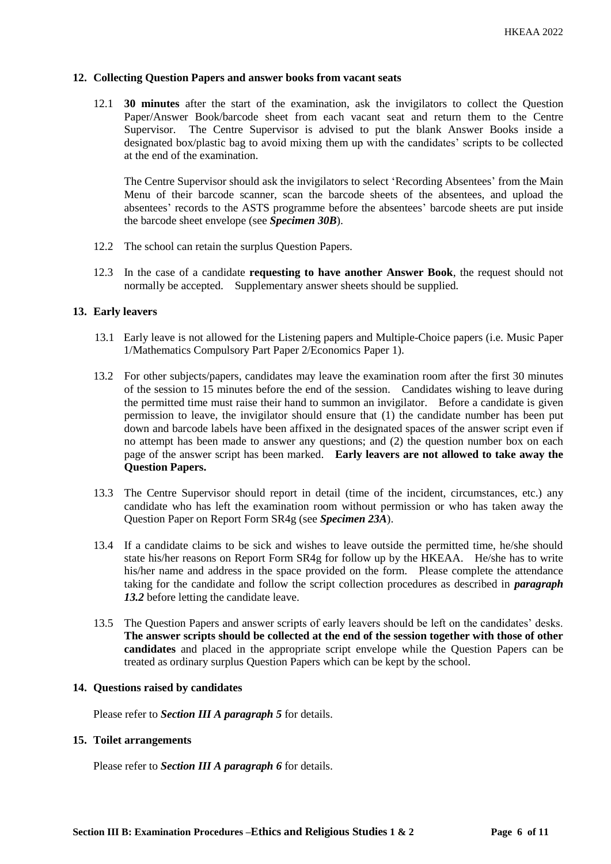## **12. Collecting Question Papers and answer books from vacant seats**

12.1 **30 minutes** after the start of the examination, ask the invigilators to collect the Question Paper/Answer Book/barcode sheet from each vacant seat and return them to the Centre Supervisor. The Centre Supervisor is advised to put the blank Answer Books inside a designated box/plastic bag to avoid mixing them up with the candidates' scripts to be collected at the end of the examination.

The Centre Supervisor should ask the invigilators to select 'Recording Absentees' from the Main Menu of their barcode scanner, scan the barcode sheets of the absentees, and upload the absentees' records to the ASTS programme before the absentees' barcode sheets are put inside the barcode sheet envelope (see *Specimen 30B*).

- 12.2 The school can retain the surplus Question Papers.
- 12.3 In the case of a candidate **requesting to have another Answer Book**, the request should not normally be accepted. Supplementary answer sheets should be supplied.

# **13. Early leavers**

- 13.1 Early leave is not allowed for the Listening papers and Multiple-Choice papers (i.e. Music Paper 1/Mathematics Compulsory Part Paper 2/Economics Paper 1).
- 13.2 For other subjects/papers, candidates may leave the examination room after the first 30 minutes of the session to 15 minutes before the end of the session. Candidates wishing to leave during the permitted time must raise their hand to summon an invigilator. Before a candidate is given permission to leave, the invigilator should ensure that (1) the candidate number has been put down and barcode labels have been affixed in the designated spaces of the answer script even if no attempt has been made to answer any questions; and (2) the question number box on each page of the answer script has been marked. **Early leavers are not allowed to take away the Question Papers.**
- 13.3 The Centre Supervisor should report in detail (time of the incident, circumstances, etc.) any candidate who has left the examination room without permission or who has taken away the Question Paper on Report Form SR4g (see *Specimen 23A*).
- 13.4 If a candidate claims to be sick and wishes to leave outside the permitted time, he/she should state his/her reasons on Report Form SR4g for follow up by the HKEAA. He/she has to write his/her name and address in the space provided on the form. Please complete the attendance taking for the candidate and follow the script collection procedures as described in *paragraph*  13.2 before letting the candidate leave.
- 13.5 The Question Papers and answer scripts of early leavers should be left on the candidates' desks. **The answer scripts should be collected at the end of the session together with those of other candidates** and placed in the appropriate script envelope while the Question Papers can be treated as ordinary surplus Question Papers which can be kept by the school.

#### **14. Questions raised by candidates**

Please refer to *Section III A paragraph 5* for details.

#### **15. Toilet arrangements**

Please refer to *Section III A paragraph 6* for details.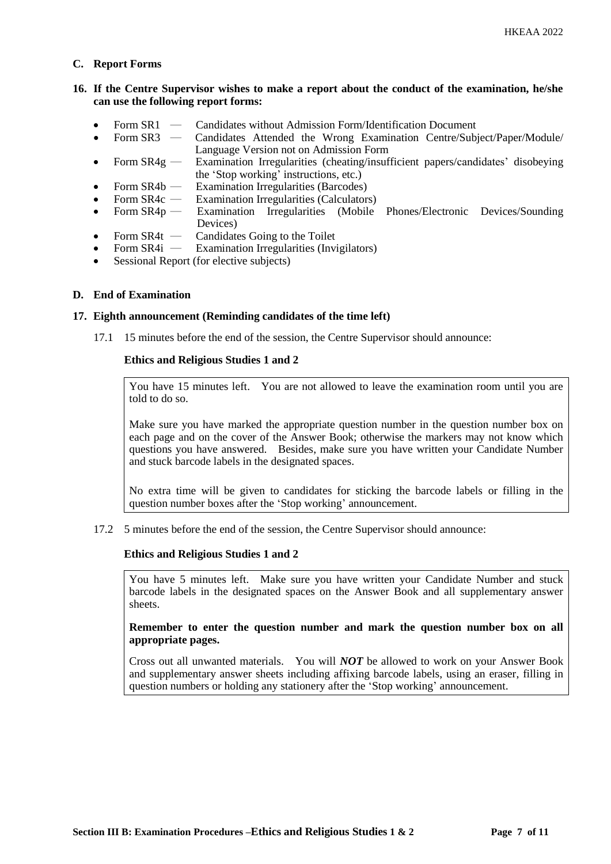# **C. Report Forms**

# **16. If the Centre Supervisor wishes to make a report about the conduct of the examination, he/she can use the following report forms:**

- Form SR1 Candidates without Admission Form/Identification Document
- Form SR3 ― Candidates Attended the Wrong Examination Centre/Subject/Paper/Module/ Language Version not on Admission Form
- Form SR4g Examination Irregularities (cheating/insufficient papers/candidates' disobeying the 'Stop working' instructions, etc.)
- Form  $SR4b$  Examination Irregularities (Barcodes)
- Form SR4c Examination Irregularities (Calculators)<br>Form SR4p Examination Irregularities (Mobile
- Form SR4p Examination Irregularities (Mobile Phones/Electronic Devices/Sounding Devices)
- Form SR4t Candidates Going to the Toilet<br>• Form SR4i Examination Irregularities (Invi
- Examination Irregularities (Invigilators)
- Sessional Report (for elective subjects)

# **D. End of Examination**

#### **17. Eighth announcement (Reminding candidates of the time left)**

17.1 15 minutes before the end of the session, the Centre Supervisor should announce:

# **Ethics and Religious Studies 1 and 2**

You have 15 minutes left. You are not allowed to leave the examination room until you are told to do so.

Make sure you have marked the appropriate question number in the question number box on each page and on the cover of the Answer Book; otherwise the markers may not know which questions you have answered. Besides, make sure you have written your Candidate Number and stuck barcode labels in the designated spaces.

No extra time will be given to candidates for sticking the barcode labels or filling in the question number boxes after the 'Stop working' announcement.

17.2 5 minutes before the end of the session, the Centre Supervisor should announce:

#### **Ethics and Religious Studies 1 and 2**

You have 5 minutes left. Make sure you have written your Candidate Number and stuck barcode labels in the designated spaces on the Answer Book and all supplementary answer sheets.

**Remember to enter the question number and mark the question number box on all appropriate pages.** 

Cross out all unwanted materials. You will *NOT* be allowed to work on your Answer Book and supplementary answer sheets including affixing barcode labels, using an eraser, filling in question numbers or holding any stationery after the 'Stop working' announcement.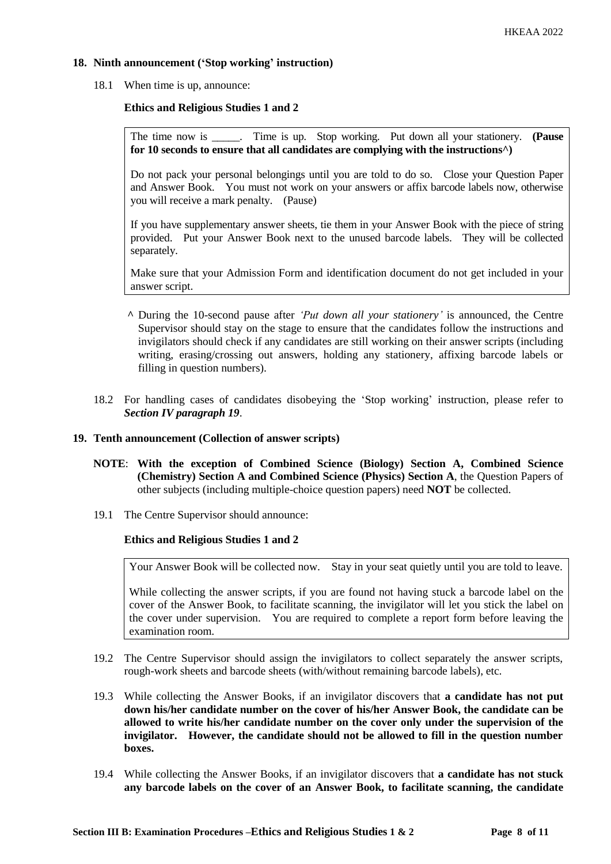# **18. Ninth announcement ('Stop working' instruction)**

18.1 When time is up, announce:

# **Ethics and Religious Studies 1 and 2**

The time now is \_\_\_\_\_. Time is up. Stop working. Put down all your stationery. **(Pause for 10 seconds to ensure that all candidates are complying with the instructions^)**

Do not pack your personal belongings until you are told to do so. Close your Question Paper and Answer Book. You must not work on your answers or affix barcode labels now, otherwise you will receive a mark penalty. (Pause)

If you have supplementary answer sheets, tie them in your Answer Book with the piece of string provided. Put your Answer Book next to the unused barcode labels. They will be collected separately.

Make sure that your Admission Form and identification document do not get included in your answer script.

- **^** During the 10-second pause after *'Put down all your stationery'* is announced, the Centre Supervisor should stay on the stage to ensure that the candidates follow the instructions and invigilators should check if any candidates are still working on their answer scripts (including writing, erasing/crossing out answers, holding any stationery, affixing barcode labels or filling in question numbers).
- 18.2 For handling cases of candidates disobeying the 'Stop working' instruction, please refer to *Section IV paragraph 19*.

#### **19. Tenth announcement (Collection of answer scripts)**

- **NOTE**: **With the exception of Combined Science (Biology) Section A, Combined Science (Chemistry) Section A and Combined Science (Physics) Section A**, the Question Papers of other subjects (including multiple-choice question papers) need **NOT** be collected.
- 19.1 The Centre Supervisor should announce:

#### **Ethics and Religious Studies 1 and 2**

Your Answer Book will be collected now. Stay in your seat quietly until you are told to leave.

While collecting the answer scripts, if you are found not having stuck a barcode label on the cover of the Answer Book, to facilitate scanning, the invigilator will let you stick the label on the cover under supervision. You are required to complete a report form before leaving the examination room.

- 19.2 The Centre Supervisor should assign the invigilators to collect separately the answer scripts, rough-work sheets and barcode sheets (with/without remaining barcode labels), etc.
- 19.3 While collecting the Answer Books, if an invigilator discovers that **a candidate has not put down his/her candidate number on the cover of his/her Answer Book, the candidate can be allowed to write his/her candidate number on the cover only under the supervision of the invigilator. However, the candidate should not be allowed to fill in the question number boxes.**
- 19.4 While collecting the Answer Books, if an invigilator discovers that **a candidate has not stuck any barcode labels on the cover of an Answer Book, to facilitate scanning, the candidate**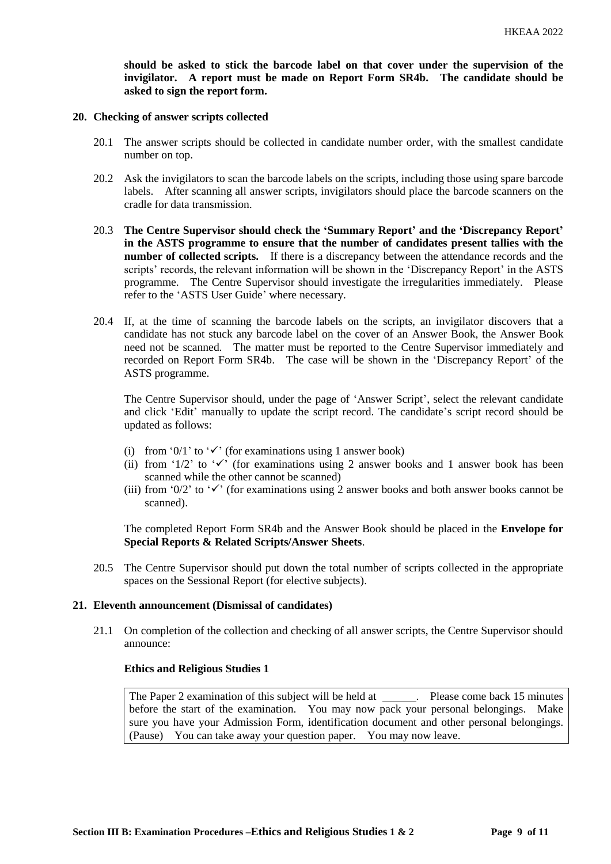**should be asked to stick the barcode label on that cover under the supervision of the invigilator. A report must be made on Report Form SR4b. The candidate should be asked to sign the report form.** 

#### **20. Checking of answer scripts collected**

- 20.1 The answer scripts should be collected in candidate number order, with the smallest candidate number on top.
- 20.2 Ask the invigilators to scan the barcode labels on the scripts, including those using spare barcode labels. After scanning all answer scripts, invigilators should place the barcode scanners on the cradle for data transmission.
- 20.3 **The Centre Supervisor should check the 'Summary Report' and the 'Discrepancy Report' in the ASTS programme to ensure that the number of candidates present tallies with the number of collected scripts.** If there is a discrepancy between the attendance records and the scripts' records, the relevant information will be shown in the 'Discrepancy Report' in the ASTS programme. The Centre Supervisor should investigate the irregularities immediately. Please refer to the 'ASTS User Guide' where necessary.
- 20.4 If, at the time of scanning the barcode labels on the scripts, an invigilator discovers that a candidate has not stuck any barcode label on the cover of an Answer Book, the Answer Book need not be scanned. The matter must be reported to the Centre Supervisor immediately and recorded on Report Form SR4b. The case will be shown in the 'Discrepancy Report' of the ASTS programme.

The Centre Supervisor should, under the page of 'Answer Script', select the relevant candidate and click 'Edit' manually to update the script record. The candidate's script record should be updated as follows:

- (i) from '0/1' to ' $\checkmark$ ' (for examinations using 1 answer book)
- (ii) from '1/2' to ' $\checkmark$ ' (for examinations using 2 answer books and 1 answer book has been scanned while the other cannot be scanned)
- (iii) from '0/2' to ' $\checkmark$ ' (for examinations using 2 answer books and both answer books cannot be scanned).

The completed Report Form SR4b and the Answer Book should be placed in the **Envelope for Special Reports & Related Scripts/Answer Sheets**.

20.5 The Centre Supervisor should put down the total number of scripts collected in the appropriate spaces on the Sessional Report (for elective subjects).

#### **21. Eleventh announcement (Dismissal of candidates)**

21.1 On completion of the collection and checking of all answer scripts, the Centre Supervisor should announce:

# **Ethics and Religious Studies 1**

The Paper 2 examination of this subject will be held at . Please come back 15 minutes before the start of the examination. You may now pack your personal belongings. Make sure you have your Admission Form, identification document and other personal belongings. (Pause) You can take away your question paper. You may now leave.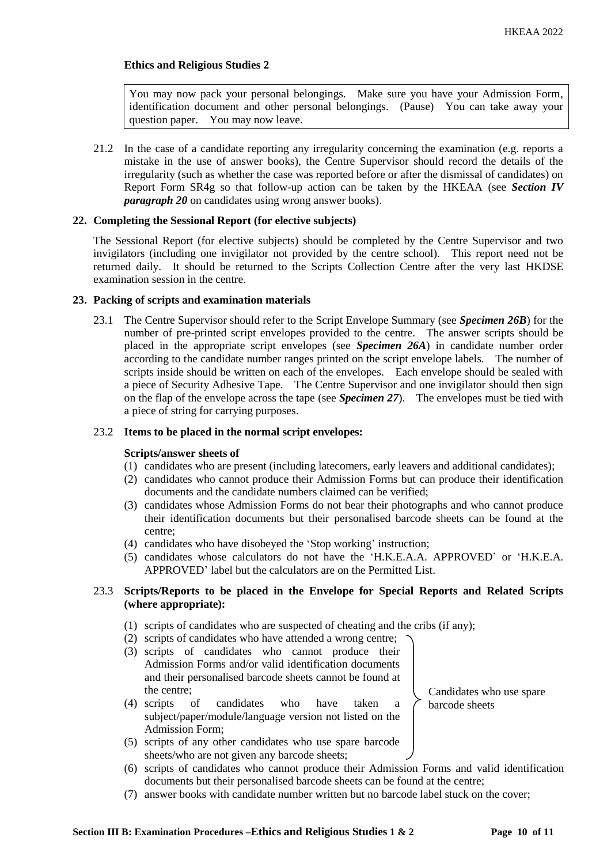# **Ethics and Religious Studies 2**

You may now pack your personal belongings. Make sure you have your Admission Form, identification document and other personal belongings. (Pause) You can take away your question paper. You may now leave.

21.2 In the case of a candidate reporting any irregularity concerning the examination (e.g. reports a mistake in the use of answer books), the Centre Supervisor should record the details of the irregularity (such as whether the case was reported before or after the dismissal of candidates) on Report Form SR4g so that follow-up action can be taken by the HKEAA (see *Section IV paragraph 20* on candidates using wrong answer books).

# **22. Completing the Sessional Report (for elective subjects)**

The Sessional Report (for elective subjects) should be completed by the Centre Supervisor and two invigilators (including one invigilator not provided by the centre school). This report need not be returned daily. It should be returned to the Scripts Collection Centre after the very last HKDSE examination session in the centre.

# **23. Packing of scripts and examination materials**

23.1 The Centre Supervisor should refer to the Script Envelope Summary (see *Specimen 26B*) for the number of pre-printed script envelopes provided to the centre. The answer scripts should be placed in the appropriate script envelopes (see *Specimen 26A*) in candidate number order according to the candidate number ranges printed on the script envelope labels. The number of scripts inside should be written on each of the envelopes. Each envelope should be sealed with a piece of Security Adhesive Tape. The Centre Supervisor and one invigilator should then sign on the flap of the envelope across the tape (see *Specimen 27*). The envelopes must be tied with a piece of string for carrying purposes.

### 23.2 **Items to be placed in the normal script envelopes:**

#### **Scripts/answer sheets of**

- (1) candidates who are present (including latecomers, early leavers and additional candidates);
- (2) candidates who cannot produce their Admission Forms but can produce their identification documents and the candidate numbers claimed can be verified;
- (3) candidates whose Admission Forms do not bear their photographs and who cannot produce their identification documents but their personalised barcode sheets can be found at the centre;
- (4) candidates who have disobeyed the 'Stop working' instruction;
- (5) candidates whose calculators do not have the 'H.K.E.A.A. APPROVED' or 'H.K.E.A. APPROVED' label but the calculators are on the Permitted List.

# 23.3 **Scripts/Reports to be placed in the Envelope for Special Reports and Related Scripts (where appropriate):**

- (1) scripts of candidates who are suspected of cheating and the cribs (if any);
- (2) scripts of candidates who have attended a wrong centre;
- (3) scripts of candidates who cannot produce their Admission Forms and/or valid identification documents and their personalised barcode sheets cannot be found at the centre;
- (4) scripts of candidates who have taken a subject/paper/module/language version not listed on the Admission Form;
- (5) scripts of any other candidates who use spare barcode sheets/who are not given any barcode sheets;
- (6) scripts of candidates who cannot produce their Admission Forms and valid identification documents but their personalised barcode sheets can be found at the centre;
- (7) answer books with candidate number written but no barcode label stuck on the cover;

Candidates who use spare

barcode sheets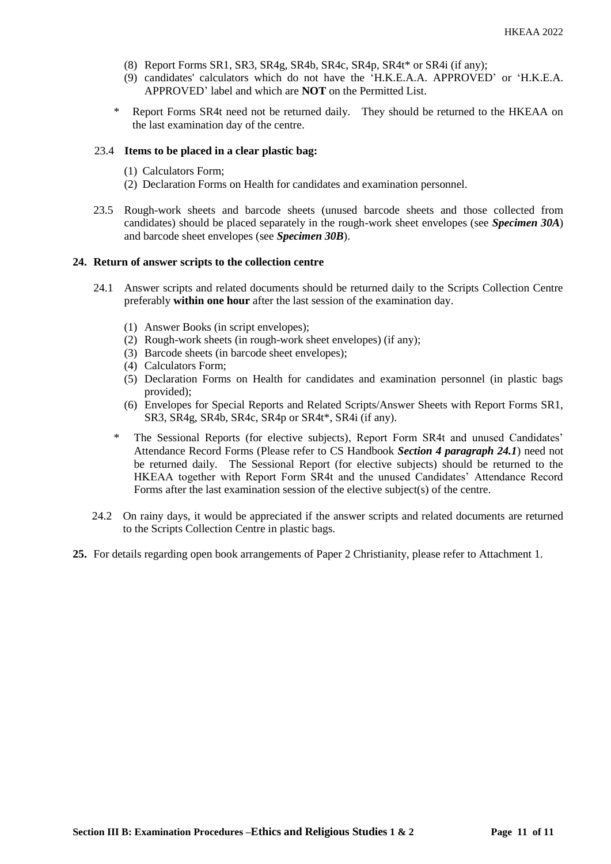- (8) Report Forms SR1, SR3, SR4g, SR4b, SR4c, SR4p, SR4t\* or SR4i (if any);
- (9) candidates' calculators which do not have the 'H.K.E.A.A. APPROVED' or 'H.K.E.A. APPROVED' label and which are **NOT** on the Permitted List.
- \* Report Forms SR4t need not be returned daily. They should be returned to the HKEAA on the last examination day of the centre.

## 23.4 **Items to be placed in a clear plastic bag:**

- (1) Calculators Form;
- (2) Declaration Forms on Health for candidates and examination personnel.
- 23.5 Rough-work sheets and barcode sheets (unused barcode sheets and those collected from candidates) should be placed separately in the rough-work sheet envelopes (see *Specimen 30A*) and barcode sheet envelopes (see *Specimen 30B*).

#### **24. Return of answer scripts to the collection centre**

- 24.1 Answer scripts and related documents should be returned daily to the Scripts Collection Centre preferably **within one hour** after the last session of the examination day.
	- (1) Answer Books (in script envelopes);
	- (2) Rough-work sheets (in rough-work sheet envelopes) (if any);
	- (3) Barcode sheets (in barcode sheet envelopes);
	- (4) Calculators Form;
	- (5) Declaration Forms on Health for candidates and examination personnel (in plastic bags provided);
	- (6) Envelopes for Special Reports and Related Scripts/Answer Sheets with Report Forms SR1, SR3, SR4g, SR4b, SR4c, SR4p or SR4t\*, SR4i (if any).
	- The Sessional Reports (for elective subjects), Report Form SR4t and unused Candidates' Attendance Record Forms (Please refer to CS Handbook *Section 4 paragraph 24.1*) need not be returned daily. The Sessional Report (for elective subjects) should be returned to the HKEAA together with Report Form SR4t and the unused Candidates' Attendance Record Forms after the last examination session of the elective subject(s) of the centre.
- 24.2 On rainy days, it would be appreciated if the answer scripts and related documents are returned to the Scripts Collection Centre in plastic bags.
- **25.** For details regarding open book arrangements of Paper 2 Christianity, please refer to Attachment 1.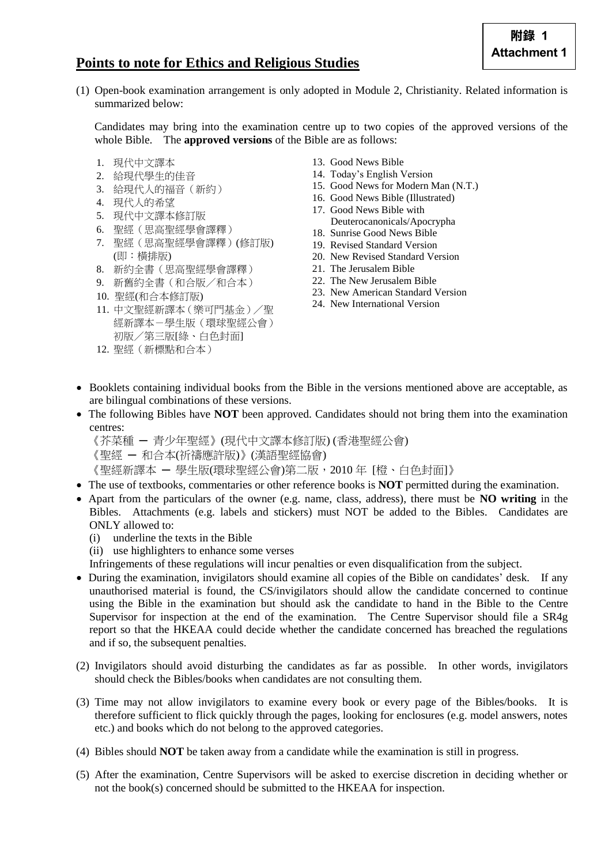# **Points to note for Ethics and Religious Studies**

(1) Open-book examination arrangement is only adopted in Module 2, Christianity. Related information is summarized below:

Candidates may bring into the examination centre up to two copies of the approved versions of the whole Bible. The **approved versions** of the Bible are as follows:

- 1. 現代中文譯本
- 2. 給現代學生的佳音
- 3. 給現代人的福音(新約)
- 4. 現代人的希望
- 5. 現代中文譯本修訂版
- 6. 聖經(思高聖經學會譯釋)
- 7. 聖經(思高聖經學會譯釋)(修訂版) (即:橫排版)
- 8. 新約全書(思高聖經學會譯釋)
- 9. 新舊約全書(和合版/和合本)
- 10. 聖經(和合本修訂版)
- 11. 中文聖經新譯本(樂可門基金)/聖 經新譯本-學生版(環球聖經公會) 初版/第三版[綠、白色封面]
- 12. 聖經(新標點和合本)
- 13. Good News Bible
- 14. Today's English Version
- 15. Good News for Modern Man (N.T.)
- 16. Good News Bible (Illustrated)
- 17. Good News Bible with Deuterocanonicals/Apocrypha
- 18. Sunrise Good News Bible
- 19. Revised Standard Version
- 20. New Revised Standard Version
- 21. The Jerusalem Bible
- 22. The New Jerusalem Bible
- 23. New American Standard Version
- 24. New International Version
- Booklets containing individual books from the Bible in the versions mentioned above are acceptable, as are bilingual combinations of these versions.
- The following Bibles have **NOT** been approved. Candidates should not bring them into the examination centres:
	- 《芥菜種 ─ 青少年聖經》(現代中文譯本修訂版) (香港聖經公會)
	- 《聖經 ─ 和合本(祈禱應許版)》(漢語聖經協會)

《聖經新譯本 ─ 學生版(環球聖經公會)第二版,2010 年 [橙、白色封面]》

- The use of textbooks, commentaries or other reference books is **NOT** permitted during the examination.
- Apart from the particulars of the owner (e.g. name, class, address), there must be **NO writing** in the Bibles. Attachments (e.g. labels and stickers) must NOT be added to the Bibles. Candidates are ONLY allowed to:
	- (i) underline the texts in the Bible
	- (ii) use highlighters to enhance some verses

Infringements of these regulations will incur penalties or even disqualification from the subject.

- During the examination, invigilators should examine all copies of the Bible on candidates' desk. If any unauthorised material is found, the CS/invigilators should allow the candidate concerned to continue using the Bible in the examination but should ask the candidate to hand in the Bible to the Centre Supervisor for inspection at the end of the examination. The Centre Supervisor should file a SR4g report so that the HKEAA could decide whether the candidate concerned has breached the regulations and if so, the subsequent penalties.
- (2) Invigilators should avoid disturbing the candidates as far as possible. In other words, invigilators should check the Bibles/books when candidates are not consulting them.
- (3) Time may not allow invigilators to examine every book or every page of the Bibles/books. It is therefore sufficient to flick quickly through the pages, looking for enclosures (e.g. model answers, notes etc.) and books which do not belong to the approved categories.
- (4) Bibles should **NOT** be taken away from a candidate while the examination is still in progress.
- (5) After the examination, Centre Supervisors will be asked to exercise discretion in deciding whether or not the book(s) concerned should be submitted to the HKEAA for inspection.